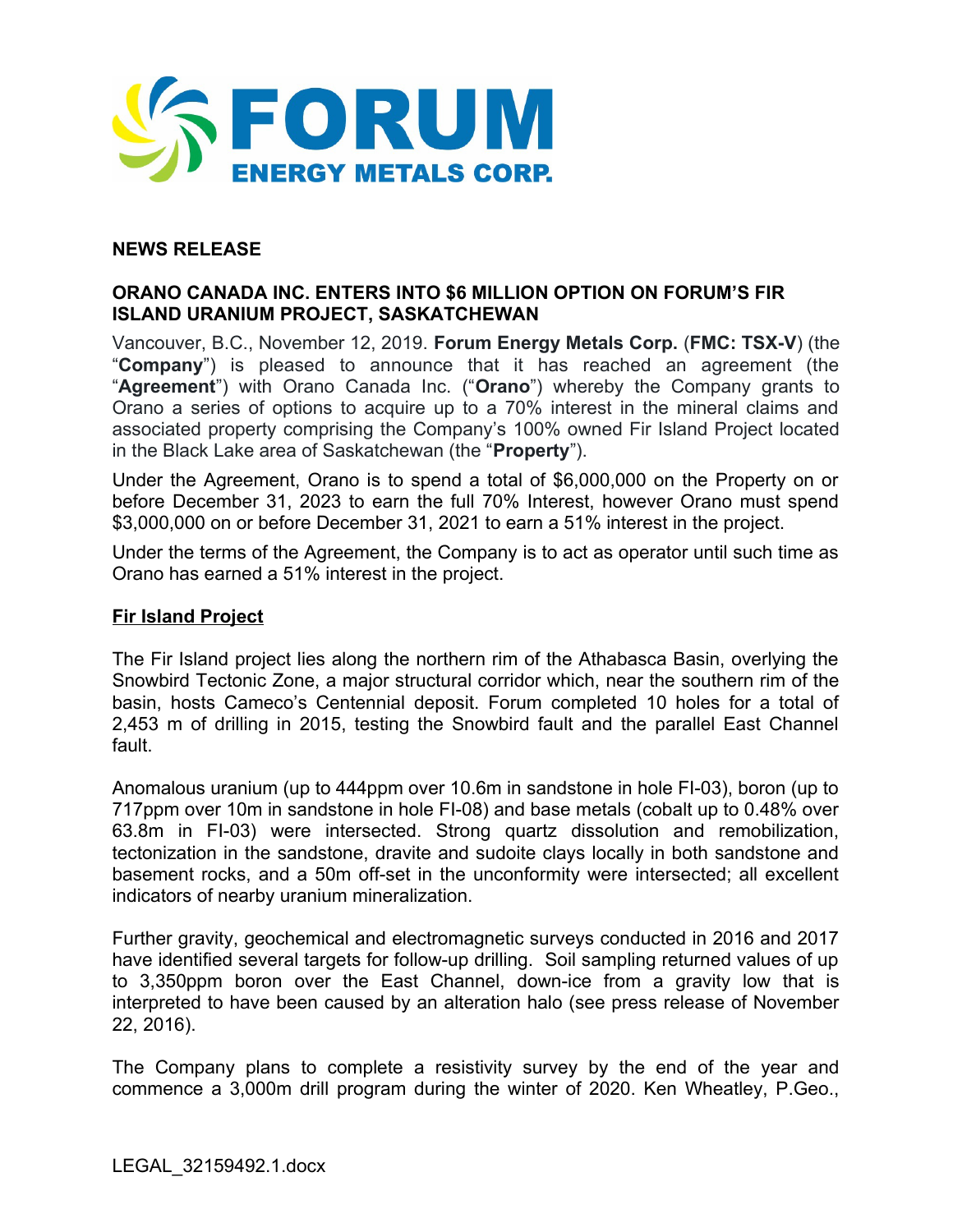

# **NEWS RELEASE**

# **ORANO CANADA INC. ENTERS INTO \$6 MILLION OPTION ON FORUM'S FIR ISLAND URANIUM PROJECT, SASKATCHEWAN**

Vancouver, B.C., November 12, 2019. **Forum Energy Metals Corp.** (**FMC: TSX-V**) (the "**Company**") is pleased to announce that it has reached an agreement (the "**Agreement**") with Orano Canada Inc. ("**Orano**") whereby the Company grants to Orano a series of options to acquire up to a 70% interest in the mineral claims and associated property comprising the Company's 100% owned Fir Island Project located in the Black Lake area of Saskatchewan (the "**Property**").

Under the Agreement, Orano is to spend a total of \$6,000,000 on the Property on or before December 31, 2023 to earn the full 70% Interest, however Orano must spend \$3,000,000 on or before December 31, 2021 to earn a 51% interest in the project.

Under the terms of the Agreement, the Company is to act as operator until such time as Orano has earned a 51% interest in the project.

### **Fir Island Project**

The Fir Island project lies along the northern rim of the Athabasca Basin, overlying the Snowbird Tectonic Zone, a major structural corridor which, near the southern rim of the basin, hosts Cameco's Centennial deposit. Forum completed 10 holes for a total of 2,453 m of drilling in 2015, testing the Snowbird fault and the parallel East Channel fault.

Anomalous uranium (up to 444ppm over 10.6m in sandstone in hole FI-03), boron (up to 717ppm over 10m in sandstone in hole FI-08) and base metals (cobalt up to 0.48% over 63.8m in FI-03) were intersected. Strong quartz dissolution and remobilization, tectonization in the sandstone, dravite and sudoite clays locally in both sandstone and basement rocks, and a 50m off-set in the unconformity were intersected; all excellent indicators of nearby uranium mineralization.

Further gravity, geochemical and electromagnetic surveys conducted in 2016 and 2017 have identified several targets for follow-up drilling. Soil sampling returned values of up to 3,350ppm boron over the East Channel, down-ice from a gravity low that is interpreted to have been caused by an alteration halo (see press release of November 22, 2016).

The Company plans to complete a resistivity survey by the end of the year and commence a 3,000m drill program during the winter of 2020. Ken Wheatley, P.Geo.,